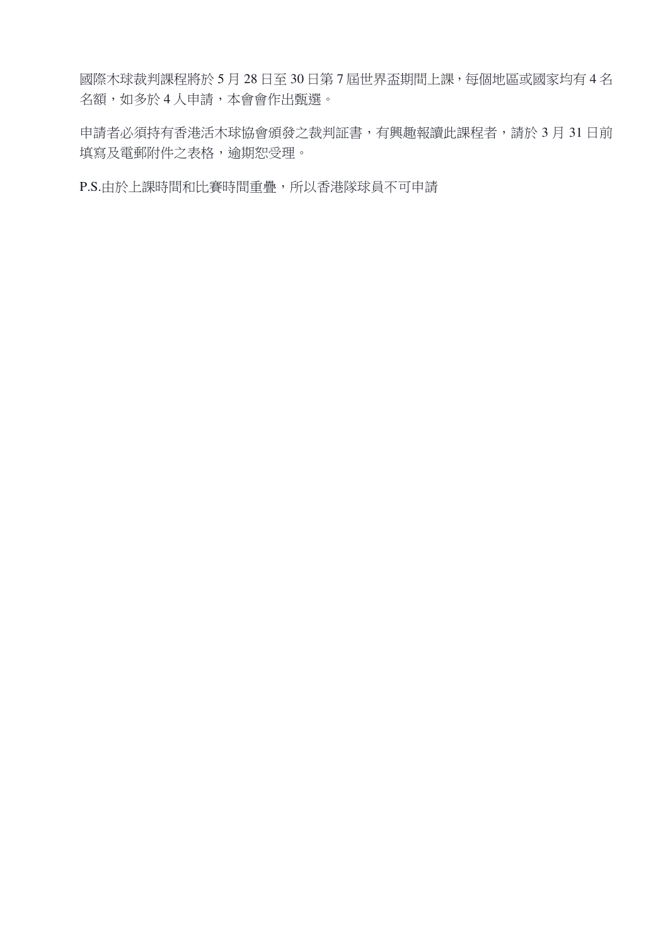國際木球裁判課程將於 5 月 28 日至 30 日第 7 屆世界盃期間上課,每個地區或國家均有 4 名 名額,如多於4人申請,本會會作出甄選。

申請者必須持有香港活木球協會頒發之裁判証書,有興趣報讀此課程者,請於 3 月 31 日前 填寫及電郵附件之表格,逾期恕受理。

P.S.由於上課時間和比賽時間重疊,所以香港隊球員不可申請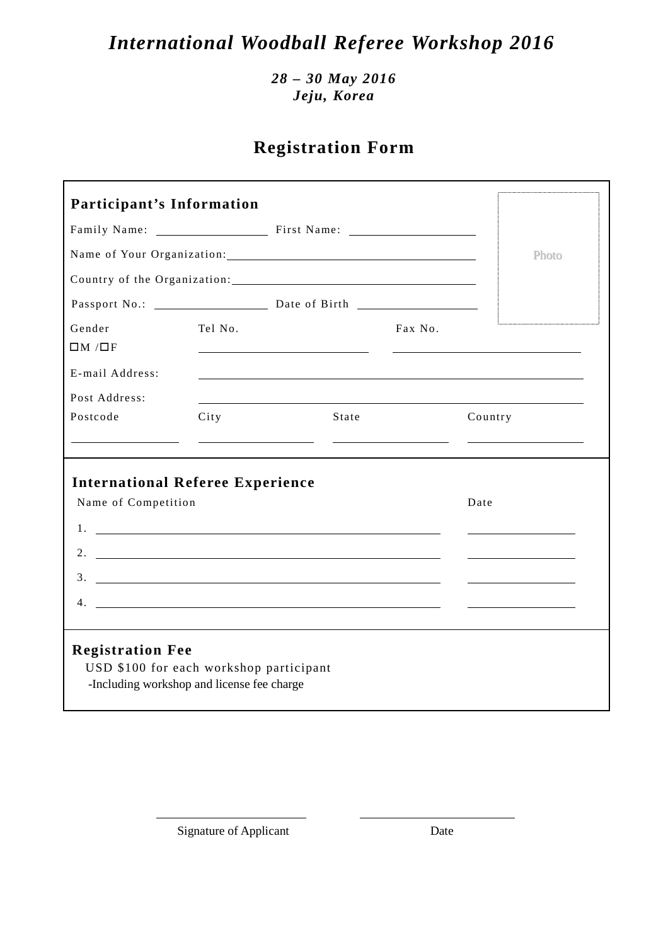# *International Woodball Referee Workshop 2016*

*28 – 30 May 2016 Jeju, Korea* 

# **Registration Form**

| <b>Participant's Information</b>                                                                                 |         |                                                                                                                                       |         |  |  |  |
|------------------------------------------------------------------------------------------------------------------|---------|---------------------------------------------------------------------------------------------------------------------------------------|---------|--|--|--|
|                                                                                                                  |         |                                                                                                                                       |         |  |  |  |
|                                                                                                                  | Photo   |                                                                                                                                       |         |  |  |  |
|                                                                                                                  |         |                                                                                                                                       |         |  |  |  |
|                                                                                                                  |         |                                                                                                                                       |         |  |  |  |
| Gender<br>$\Box M / \Box F$                                                                                      | Tel No. | Fax No.                                                                                                                               |         |  |  |  |
| E-mail Address:                                                                                                  |         |                                                                                                                                       |         |  |  |  |
| Post Address:                                                                                                    |         |                                                                                                                                       |         |  |  |  |
| Postcode                                                                                                         | City    | State                                                                                                                                 | Country |  |  |  |
|                                                                                                                  |         |                                                                                                                                       |         |  |  |  |
| <b>International Referee Experience</b><br>Name of Competition<br>4.                                             |         | $\frac{3}{2}$<br><u> 1989 - Johann Barbara, martin amerikan basal dan berasal dan berasal dalam basal dan berasal dan berasal dan</u> | Date    |  |  |  |
| <b>Registration Fee</b><br>USD \$100 for each workshop participant<br>-Including workshop and license fee charge |         |                                                                                                                                       |         |  |  |  |

Signature of Applicant Date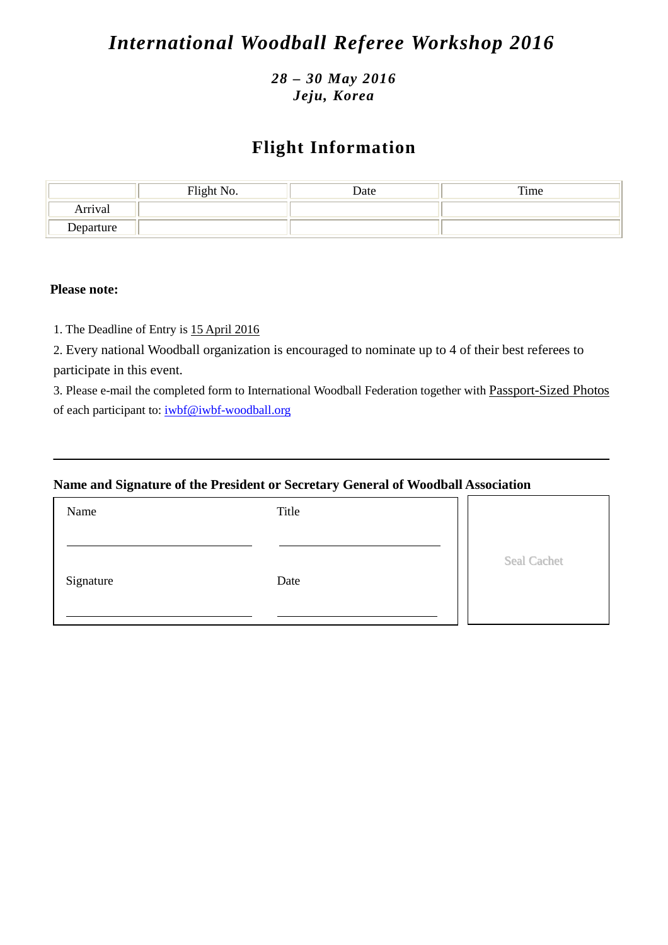# *International Woodball Referee Workshop 2016*

### *28 – 30 May 2016 Jeju, Korea*

### **Flight Information**

|           | Flight No. | Date | Time |
|-----------|------------|------|------|
| Arrival   |            |      |      |
| Departure |            |      |      |

#### **Please note:**

1. The Deadline of Entry is 15 April 2016

2. Every national Woodball organization is encouraged to nominate up to 4 of their best referees to participate in this event.

3. Please e-mail the completed form to International Woodball Federation together with Passport-Sized Photos of each participant to: iwbf@iwbf-woodball.org

#### **Name and Signature of the President or Secretary General of Woodball Association**

| Name      | Title |                    |
|-----------|-------|--------------------|
| Signature | Date  | <b>Seal Cachet</b> |
|           |       |                    |